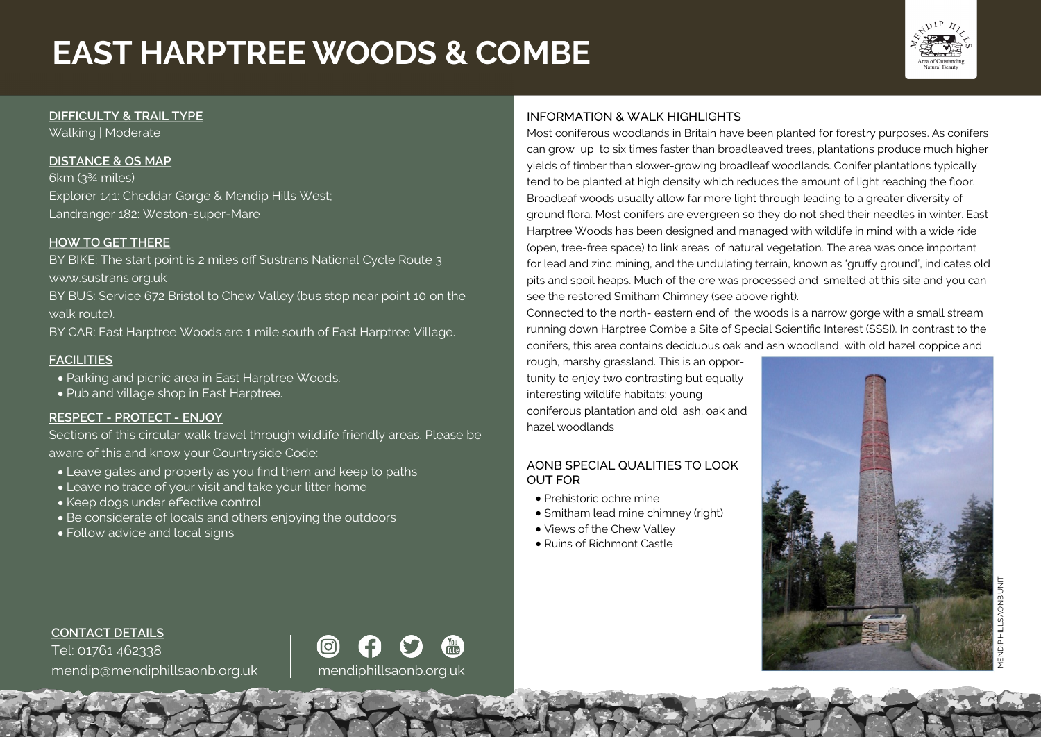# **EAST HARPTREE WOODS & COMBE**



#### **DIFFICULTY & TRAIL TYPE**

Walking | Moderate

# **DISTANCE & OS MAP**

6km (3¾ miles) Explorer 141: Cheddar Gorge & Mendip Hills West; Landranger 182: Weston-super-Mare

## **HOW TO GET THERE**

BY BIKE: The start point is 2 miles off Sustrans National Cycle Route 3 www.sustrans.org.uk

BY BUS: Service 672 Bristol to Chew Valley (bus stop near point 10 on the walk route).

BY CAR: East Harptree Woods are 1 mile south of East Harptree Village.

# **FACILITIES**

- Parking and picnic area in East Harptree Woods.
- Pub and village shop in East Harptree.

## **RESPECT - PROTECT - ENJOY**

Sections of this circular walk travel through wildlife friendly areas. Please be aware of this and know your Countryside Code:

(ට)

- Leave gates and property as you find them and keep to paths
- Leave no trace of your visit and take your litter home
- Keep dogs under effective control
- Be considerate of locals and others enjoying the outdoors
- Follow advice and local signs

# INFORMATION & WALK HIGHLIGHTS

Most coniferous woodlands in Britain have been planted for forestry purposes. As conifers can grow up to six times faster than broadleaved trees, plantations produce much higher yields of timber than slower-growing broadleaf woodlands. Conifer plantations typically tend to be planted at high density which reduces the amount of light reaching the floor. Broadleaf woods usually allow far more light through leading to a greater diversity of ground flora. Most conifers are evergreen so they do not shed their needles in winter. East Harptree Woods has been designed and managed with wildlife in mind with a wide ride (open, tree-free space) to link areas of natural vegetation. The area was once important for lead and zinc mining, and the undulating terrain, known as 'gruffy ground', indicates old pits and spoil heaps. Much of the ore was processed and smelted at this site and you can see the restored Smitham Chimney (see above right).

Connected to the north- eastern end of the woods is a narrow gorge with a small stream running down Harptree Combe a Site of Special Scientific Interest (SSSI). In contrast to the conifers, this area contains deciduous oak and ash woodland, with old hazel coppice and

rough, marshy grassland. This is an opportunity to enjoy two contrasting but equally interesting wildlife habitats: young coniferous plantation and old ash, oak and hazel woodlands

# AONB SPECIAL QUALITIES TO LOOK OUT FOR

- Prehistoric ochre mine
- Smitham lead mine chimney (right)
- Views of the Chew Valley
- Ruins of Richmont Castle



**CONTACT DETAILS** Tel: 01761 462338 mendip@mendiphillsaonb.org.uk mendiphillsaonb.org.uk